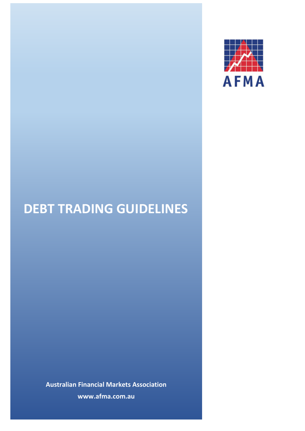

# **DEBT TRADING GUIDELINES**

**Australian Financial Markets Association www.afma.com.au**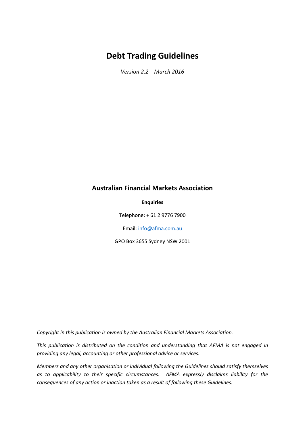## **Debt Trading Guidelines**

*Version 2.2 March 2016*

#### **Australian Financial Markets Association**

#### **Enquiries**

Telephone: + 61 2 9776 7900

Email[: info@afma.com.au](mailto:info@afma.com.au)

GPO Box 3655 Sydney NSW 2001

*Copyright in this publication is owned by the Australian Financial Markets Association.*

*This publication is distributed on the condition and understanding that AFMA is not engaged in providing any legal, accounting or other professional advice or services.*

*Members and any other organisation or individual following the Guidelines should satisfy themselves as to applicability to their specific circumstances. AFMA expressly disclaims liability for the consequences of any action or inaction taken as a result of following these Guidelines.*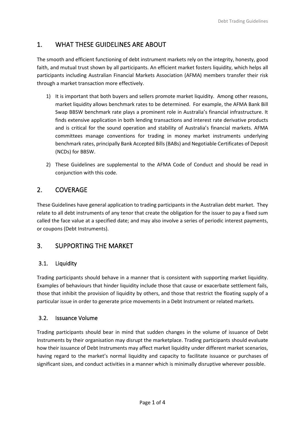## 1. WHAT THESE GUIDELINES ARE ABOUT

The smooth and efficient functioning of debt instrument markets rely on the integrity, honesty, good faith, and mutual trust shown by all participants. An efficient market fosters liquidity, which helps all participants including Australian Financial Markets Association (AFMA) members transfer their risk through a market transaction more effectively.

- 1) It is important that both buyers and sellers promote market liquidity. Among other reasons, market liquidity allows benchmark rates to be determined. For example, the AFMA Bank Bill Swap BBSW benchmark rate plays a prominent role in Australia's financial infrastructure. It finds extensive application in both lending transactions and interest rate derivative products and is critical for the sound operation and stability of Australia's financial markets. AFMA committees manage conventions for trading in money market instruments underlying benchmark rates, principally Bank Accepted Bills (BABs) and Negotiable Certificates of Deposit (NCDs) for BBSW.
- 2) These Guidelines are supplemental to the AFMA Code of Conduct and should be read in conjunction with this code.

## 2. COVERAGE

These Guidelines have general application to trading participants in the Australian debt market. They relate to all debt instruments of any tenor that create the obligation for the issuer to pay a fixed sum called the face value at a specified date; and may also involve a series of periodic interest payments, or coupons (Debt Instruments).

## 3. SUPPORTING THE MARKET

#### 3.1. Liquidity

Trading participants should behave in a manner that is consistent with supporting market liquidity. Examples of behaviours that hinder liquidity include those that cause or exacerbate settlement fails, those that inhibit the provision of liquidity by others, and those that restrict the floating supply of a particular issue in order to generate price movements in a Debt Instrument or related markets.

#### 3.2. Issuance Volume

Trading participants should bear in mind that sudden changes in the volume of issuance of Debt Instruments by their organisation may disrupt the marketplace. Trading participants should evaluate how their issuance of Debt Instruments may affect market liquidity under different market scenarios, having regard to the market's normal liquidity and capacity to facilitate issuance or purchases of significant sizes, and conduct activities in a manner which is minimally disruptive wherever possible.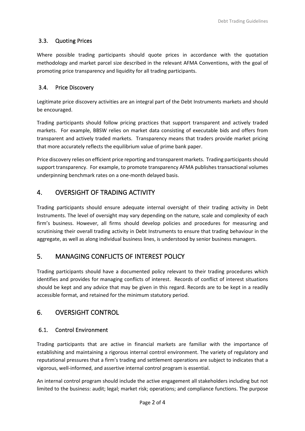#### 3.3. Quoting Prices

Where possible trading participants should quote prices in accordance with the quotation methodology and market parcel size described in the relevant AFMA Conventions, with the goal of promoting price transparency and liquidity for all trading participants.

#### 3.4. Price Discovery

Legitimate price discovery activities are an integral part of the Debt Instruments markets and should be encouraged.

Trading participants should follow pricing practices that support transparent and actively traded markets. For example, BBSW relies on market data consisting of executable bids and offers from transparent and actively traded markets. Transparency means that traders provide market pricing that more accurately reflects the equilibrium value of prime bank paper.

Price discovery relies on efficient price reporting and transparent markets. Trading participants should support transparency. For example, to promote transparency AFMA publishes transactional volumes underpinning benchmark rates on a one‐month delayed basis.

#### 4. OVERSIGHT OF TRADING ACTIVITY

Trading participants should ensure adequate internal oversight of their trading activity in Debt Instruments. The level of oversight may vary depending on the nature, scale and complexity of each firm's business. However, all firms should develop policies and procedures for measuring and scrutinising their overall trading activity in Debt Instruments to ensure that trading behaviour in the aggregate, as well as along individual business lines, is understood by senior business managers.

#### 5. MANAGING CONFLICTS OF INTEREST POLICY

Trading participants should have a documented policy relevant to their trading procedures which identifies and provides for managing conflicts of interest. Records of conflict of interest situations should be kept and any advice that may be given in this regard. Records are to be kept in a readily accessible format, and retained for the minimum statutory period.

#### 6. OVERSIGHT CONTROL

#### 6.1. Control Environment

Trading participants that are active in financial markets are familiar with the importance of establishing and maintaining a rigorous internal control environment. The variety of regulatory and reputational pressures that a firm's trading and settlement operations are subject to indicates that a vigorous, well-informed, and assertive internal control program is essential.

An internal control program should include the active engagement all stakeholders including but not limited to the business: audit; legal; market risk; operations; and compliance functions. The purpose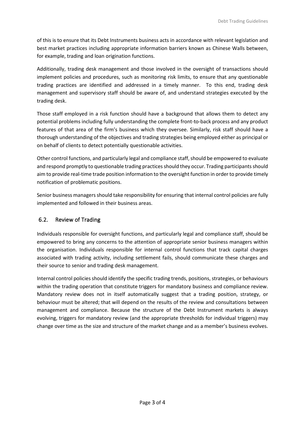of this is to ensure that its Debt Instruments business acts in accordance with relevant legislation and best market practices including appropriate information barriers known as Chinese Walls between, for example, trading and loan origination functions.

Additionally, trading desk management and those involved in the oversight of transactions should implement policies and procedures, such as monitoring risk limits, to ensure that any questionable trading practices are identified and addressed in a timely manner. To this end, trading desk management and supervisory staff should be aware of, and understand strategies executed by the trading desk.

Those staff employed in a risk function should have a background that allows them to detect any potential problems including fully understanding the complete front-to-back process and any product features of that area of the firm's business which they oversee. Similarly, risk staff should have a thorough understanding of the objectives and trading strategies being employed either as principal or on behalf of clients to detect potentially questionable activities.

Other control functions, and particularly legal and compliance staff, should be empowered to evaluate and respond promptly to questionable trading practices should they occur. Trading participants should aim to provide real-time trade position information to the oversight function in order to provide timely notification of problematic positions.

Senior business managers should take responsibility for ensuring that internal control policies are fully implemented and followed in their business areas.

#### 6.2. Review of Trading

Individuals responsible for oversight functions, and particularly legal and compliance staff, should be empowered to bring any concerns to the attention of appropriate senior business managers within the organisation. Individuals responsible for internal control functions that track capital charges associated with trading activity, including settlement fails, should communicate these charges and their source to senior and trading desk management.

Internal control policies should identify the specific trading trends, positions, strategies, or behaviours within the trading operation that constitute triggers for mandatory business and compliance review. Mandatory review does not in itself automatically suggest that a trading position, strategy, or behaviour must be altered; that will depend on the results of the review and consultations between management and compliance. Because the structure of the Debt Instrument markets is always evolving, triggers for mandatory review (and the appropriate thresholds for individual triggers) may change over time as the size and structure of the market change and as a member's business evolves.